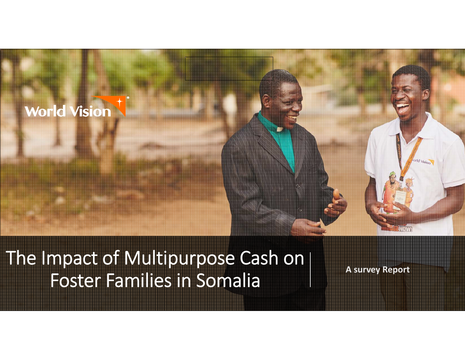

The Impact of Multipurpose Cash on | Foster Families in Somalia

**A survey Report**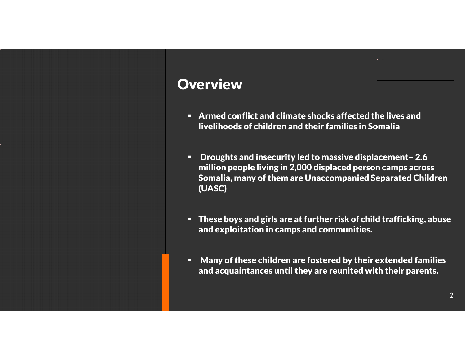## **Overview**

- Armed conflict and climate shocks affected the lives and livelihoods of children and their families in Somalia
- Droughts and insecurity led to massive displacement– 2.6 million people living in 2,000 displaced person camps across Somalia, many of them are Unaccompanied Separated Children (UASC)
- These boys and girls are at further risk of child trafficking, abuse and exploitation in camps and communities.
- $\blacksquare$  Many of these children are fostered by their extended families and acquaintances until they are reunited with their parents.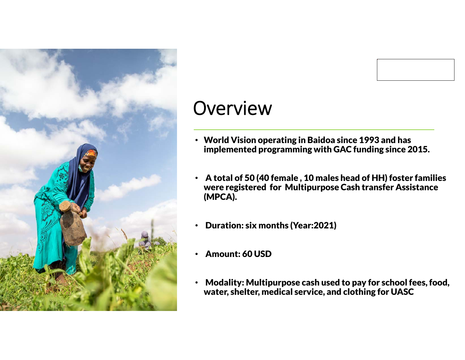

## **Overview**

- World Vision operating in Baidoa since 1993 and has implemented programming with GAC funding since 2015.
- • A total of 50 (40 female , 10 males head of HH) foster families were registered for Multipurpose Cash transfer Assistance (MPCA).
- •Duration: six months (Year:2021)
- •Amount: 60 USD
- • Modality: Multipurpose cash used to pay for school fees, food, water, shelter, medical service, and clothing for UASC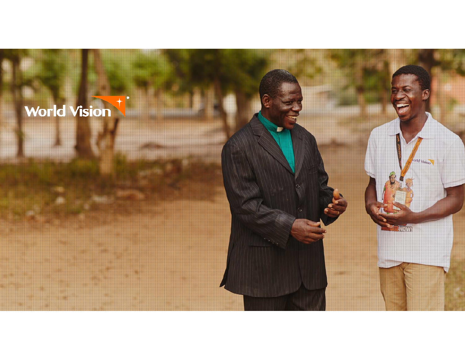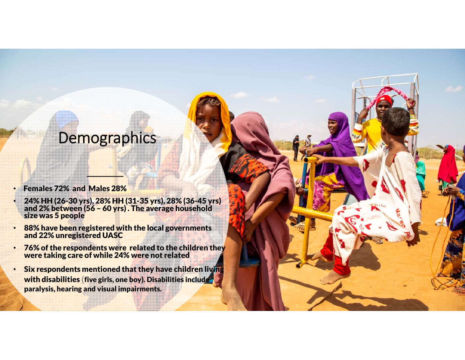## **Demographics**

•Females 72% and Males 28%

•

- 24% HH (26-30 yrs), 28% HH (31-35 yrs), 28% (36-45 yrs) and 2% between (56 – 60 yrs) . The average household size was 5 people
- • 88% have been registered with the local governments and 22% unregistered UASC
- •76% of the respondents were related to the children they were taking care of while 24% were not related
- • Six respondents mentioned that they have children living with disabilities (five girls, one boy). Disabilities include paralysis, hearing and visual impairments.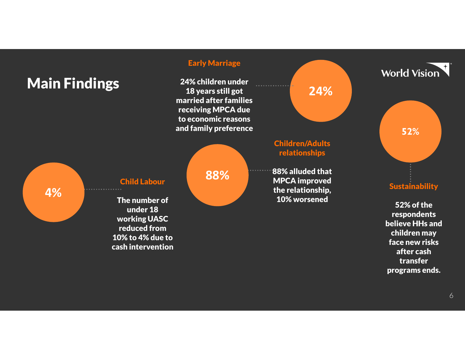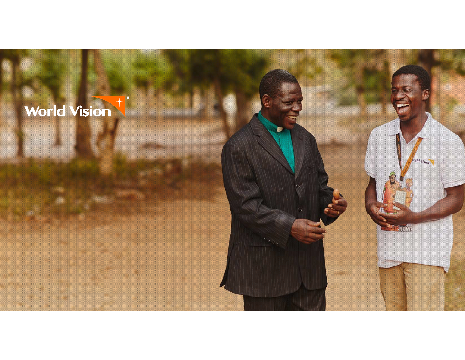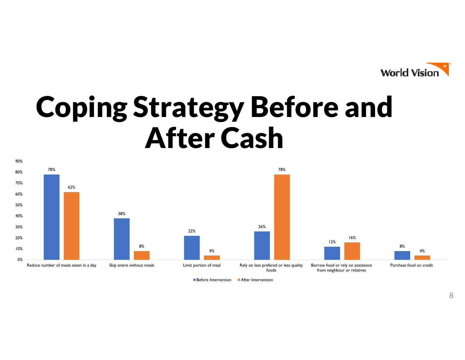

## Coping Strategy Before and After Cash



Before Intervention

**After Intervention**